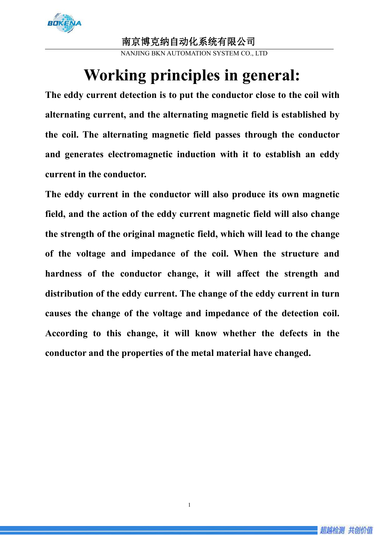

#### 南京博克纳自动化系统有限公司

NANJING BKN AUTOMATION SYSTEM CO., LTD

# **Working principles in general:**

**The eddy current detection is to put the conductor close to the coil with alternating current, and the alternating magnetic field is established by the coil. The alternating magnetic field passes through the conductor and generates electromagnetic induction with it to establish an eddy current in the conductor.**

**The eddy current in the conductor will also produce its own magnetic field, and the action of the eddy current magnetic field will also change the strength of the original magnetic field, which will lead to the change of the voltage and impedance of the coil. When the structure and hardness of the conductor change, it will affect the strength and distribution of the eddy current. The change of the eddy current in turn causes the change of the voltage and impedance of the detection coil. According to thischange, it will know whether the defects in the conductor and the properties of the metal material have changed.**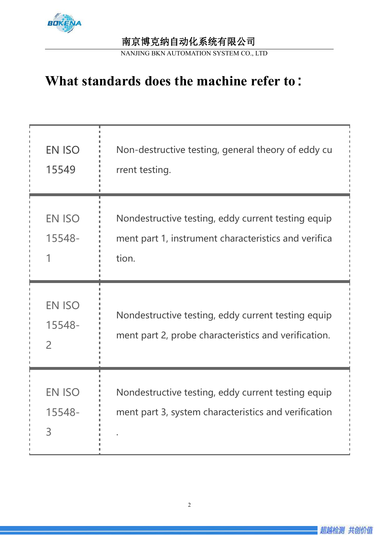

### 南京博克纳自动化系统有限公司

NANJING BKN AUTOMATION SYSTEM CO., LTD

# **What standards does the machine refer to**:

| EN ISO<br>15549                           | Non-destructive testing, general theory of eddy cu<br>rrent testing.                                                |
|-------------------------------------------|---------------------------------------------------------------------------------------------------------------------|
| <b>EN ISO</b><br>15548-                   | Nondestructive testing, eddy current testing equip<br>ment part 1, instrument characteristics and verifica<br>tion. |
| <b>EN ISO</b><br>15548-<br>$\overline{2}$ | Nondestructive testing, eddy current testing equip<br>ment part 2, probe characteristics and verification.          |
| <b>EN ISO</b><br>15548-<br>3              | Nondestructive testing, eddy current testing equip<br>ment part 3, system characteristics and verification          |